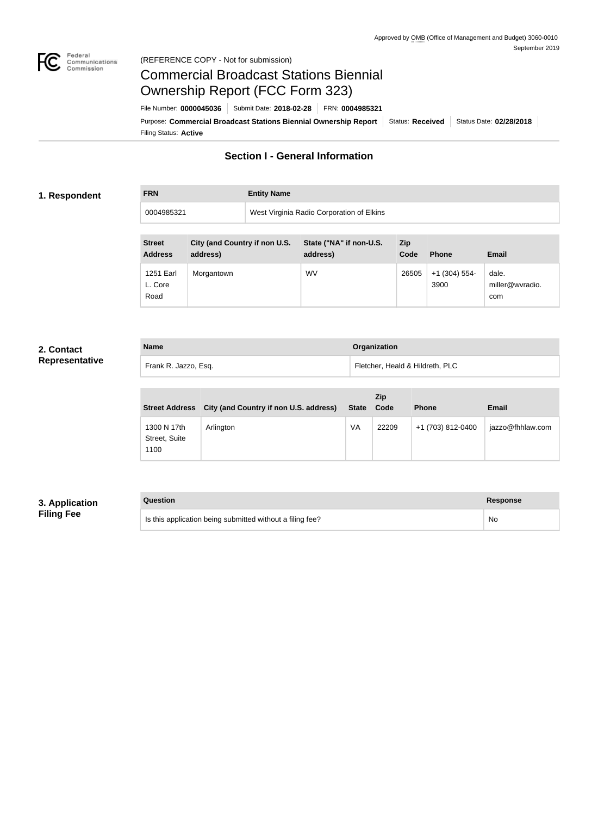

## Federal<br>Communications<br>Commission (REFERENCE COPY - Not for submission)

# Commercial Broadcast Stations Biennial Ownership Report (FCC Form 323)

Filing Status: **Active** Purpose: Commercial Broadcast Stations Biennial Ownership Report Status: Received Status Date: 02/28/2018 File Number: **0000045036** Submit Date: **2018-02-28** FRN: **0004985321**

# **Section I - General Information**

## **1. Respondent**

**FRN Entity Name**

0004985321 West Virginia Radio Corporation of Elkins

| <b>Street</b><br><b>Address</b> | City (and Country if non U.S.<br>address) | State ("NA" if non-U.S.<br>address) | <b>Zip</b><br>Code | <b>Phone</b>            | <b>Email</b>                    |
|---------------------------------|-------------------------------------------|-------------------------------------|--------------------|-------------------------|---------------------------------|
| 1251 Earl<br>L. Core<br>Road    | Morgantown                                | <b>WV</b>                           | 26505              | $+1$ (304) 554-<br>3900 | dale.<br>miller@wvradio.<br>com |

# **2. Contact Representative**

| <b>Name</b>          | <b>Organization</b>             |
|----------------------|---------------------------------|
| Frank R. Jazzo, Esq. | Fletcher, Heald & Hildreth, PLC |

| <b>Street Address</b>                | City (and Country if non U.S. address) | <b>State</b> | Zip<br>Code | <b>Phone</b>      | <b>Email</b>     |
|--------------------------------------|----------------------------------------|--------------|-------------|-------------------|------------------|
| 1300 N 17th<br>Street, Suite<br>1100 | Arlington                              | <b>VA</b>    | 22209       | +1 (703) 812-0400 | jazzo@fhhlaw.com |

# **3. Application Filing Fee**

| Question                                                  | Response |
|-----------------------------------------------------------|----------|
| Is this application being submitted without a filing fee? | No       |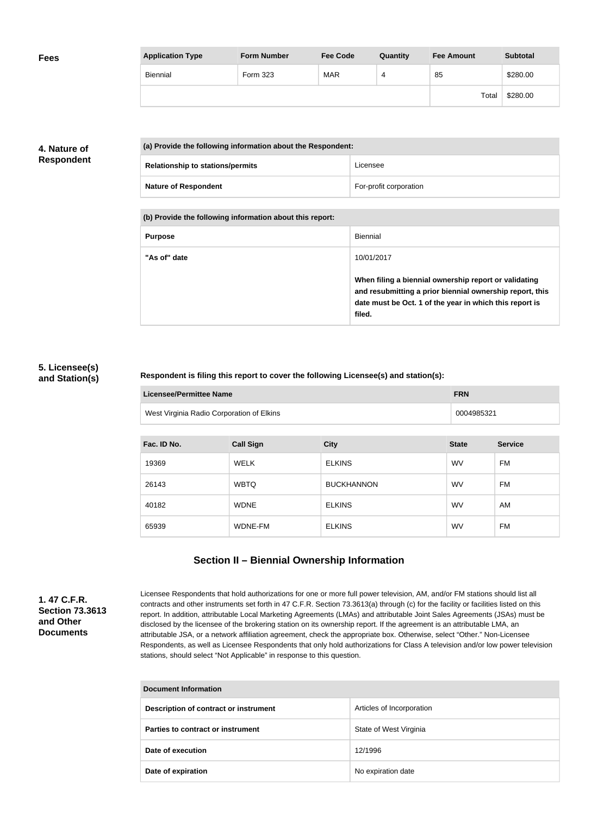| <b>Fees</b> | <b>Application Type</b> | <b>Form Number</b> | <b>Fee Code</b> | Quantity | <b>Fee Amount</b> | <b>Subtotal</b> |
|-------------|-------------------------|--------------------|-----------------|----------|-------------------|-----------------|
|             | Biennial                | Form 323           | <b>MAR</b>      | 4        | 85                | \$280.00        |
|             |                         |                    |                 |          | Total             | \$280.00        |

# **4. Nature of Respondent**

| (a) Provide the following information about the Respondent: |                        |
|-------------------------------------------------------------|------------------------|
| <b>Relationship to stations/permits</b>                     | Licensee               |
| <b>Nature of Respondent</b>                                 | For-profit corporation |

**(b) Provide the following information about this report:**

| <b>Purpose</b> | Biennial                                                                                                                                                                               |
|----------------|----------------------------------------------------------------------------------------------------------------------------------------------------------------------------------------|
| "As of" date   | 10/01/2017                                                                                                                                                                             |
|                | When filing a biennial ownership report or validating<br>and resubmitting a prior biennial ownership report, this<br>date must be Oct. 1 of the year in which this report is<br>filed. |

# **5. Licensee(s) and Station(s)**

## **Respondent is filing this report to cover the following Licensee(s) and station(s):**

| <b>Licensee/Permittee Name</b>            | <b>FRN</b> |
|-------------------------------------------|------------|
| West Virginia Radio Corporation of Elkins | 0004985321 |

| Fac. ID No. | <b>Call Sign</b> | <b>City</b>       | <b>State</b> | <b>Service</b> |
|-------------|------------------|-------------------|--------------|----------------|
| 19369       | <b>WELK</b>      | <b>ELKINS</b>     | <b>WV</b>    | <b>FM</b>      |
| 26143       | <b>WBTQ</b>      | <b>BUCKHANNON</b> | <b>WV</b>    | <b>FM</b>      |
| 40182       | <b>WDNE</b>      | <b>ELKINS</b>     | <b>WV</b>    | AM             |
| 65939       | WDNE-FM          | <b>ELKINS</b>     | <b>WV</b>    | <b>FM</b>      |

# **Section II – Biennial Ownership Information**

**1. 47 C.F.R. Section 73.3613 and Other Documents**

Licensee Respondents that hold authorizations for one or more full power television, AM, and/or FM stations should list all contracts and other instruments set forth in 47 C.F.R. Section 73.3613(a) through (c) for the facility or facilities listed on this report. In addition, attributable Local Marketing Agreements (LMAs) and attributable Joint Sales Agreements (JSAs) must be disclosed by the licensee of the brokering station on its ownership report. If the agreement is an attributable LMA, an attributable JSA, or a network affiliation agreement, check the appropriate box. Otherwise, select "Other." Non-Licensee Respondents, as well as Licensee Respondents that only hold authorizations for Class A television and/or low power television stations, should select "Not Applicable" in response to this question.

| <b>Document Information</b>           |                           |  |
|---------------------------------------|---------------------------|--|
| Description of contract or instrument | Articles of Incorporation |  |
| Parties to contract or instrument     | State of West Virginia    |  |
| Date of execution                     | 12/1996                   |  |
| Date of expiration                    | No expiration date        |  |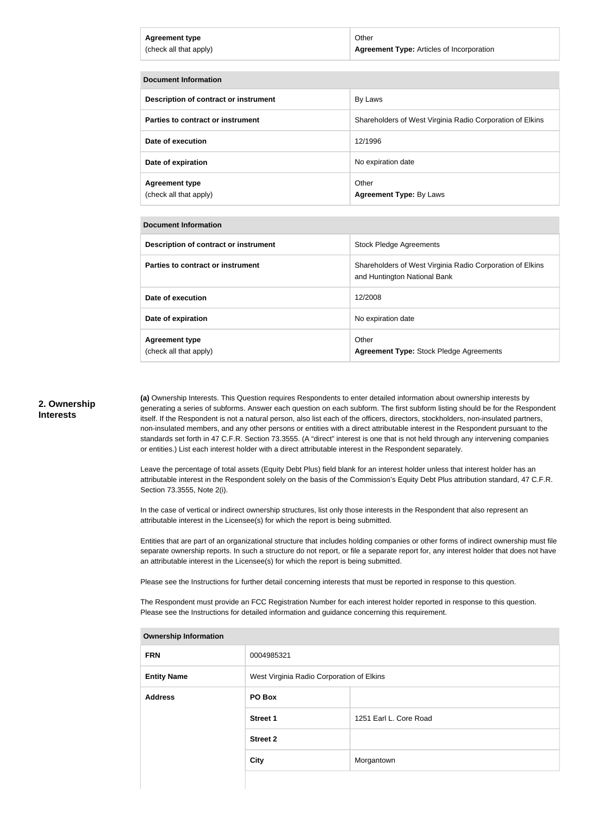| <b>Agreement type</b>  | Other                                     |
|------------------------|-------------------------------------------|
| (check all that apply) | Agreement Type: Articles of Incorporation |
|                        |                                           |

| <b>Document Information</b>                     |                                                           |  |
|-------------------------------------------------|-----------------------------------------------------------|--|
| Description of contract or instrument           | By Laws                                                   |  |
| Parties to contract or instrument               | Shareholders of West Virginia Radio Corporation of Elkins |  |
| Date of execution                               | 12/1996                                                   |  |
| Date of expiration                              | No expiration date                                        |  |
| <b>Agreement type</b><br>(check all that apply) | Other<br><b>Agreement Type: By Laws</b>                   |  |

#### **Document Information**

| Description of contract or instrument           | <b>Stock Pledge Agreements</b>                                                            |
|-------------------------------------------------|-------------------------------------------------------------------------------------------|
| Parties to contract or instrument               | Shareholders of West Virginia Radio Corporation of Elkins<br>and Huntington National Bank |
| Date of execution                               | 12/2008                                                                                   |
| Date of expiration                              | No expiration date                                                                        |
| <b>Agreement type</b><br>(check all that apply) | Other<br><b>Agreement Type: Stock Pledge Agreements</b>                                   |

### **2. Ownership Interests**

**(a)** Ownership Interests. This Question requires Respondents to enter detailed information about ownership interests by generating a series of subforms. Answer each question on each subform. The first subform listing should be for the Respondent itself. If the Respondent is not a natural person, also list each of the officers, directors, stockholders, non-insulated partners, non-insulated members, and any other persons or entities with a direct attributable interest in the Respondent pursuant to the standards set forth in 47 C.F.R. Section 73.3555. (A "direct" interest is one that is not held through any intervening companies or entities.) List each interest holder with a direct attributable interest in the Respondent separately.

Leave the percentage of total assets (Equity Debt Plus) field blank for an interest holder unless that interest holder has an attributable interest in the Respondent solely on the basis of the Commission's Equity Debt Plus attribution standard, 47 C.F.R. Section 73.3555, Note 2(i).

In the case of vertical or indirect ownership structures, list only those interests in the Respondent that also represent an attributable interest in the Licensee(s) for which the report is being submitted.

Entities that are part of an organizational structure that includes holding companies or other forms of indirect ownership must file separate ownership reports. In such a structure do not report, or file a separate report for, any interest holder that does not have an attributable interest in the Licensee(s) for which the report is being submitted.

Please see the Instructions for further detail concerning interests that must be reported in response to this question.

The Respondent must provide an FCC Registration Number for each interest holder reported in response to this question. Please see the Instructions for detailed information and guidance concerning this requirement.

| <b>Ownership Information</b> |                                           |                        |  |
|------------------------------|-------------------------------------------|------------------------|--|
| <b>FRN</b>                   | 0004985321                                |                        |  |
| <b>Entity Name</b>           | West Virginia Radio Corporation of Elkins |                        |  |
| <b>Address</b>               | PO Box                                    |                        |  |
|                              | <b>Street 1</b>                           | 1251 Earl L. Core Road |  |
|                              | <b>Street 2</b>                           |                        |  |
|                              | <b>City</b>                               | Morgantown             |  |
|                              |                                           |                        |  |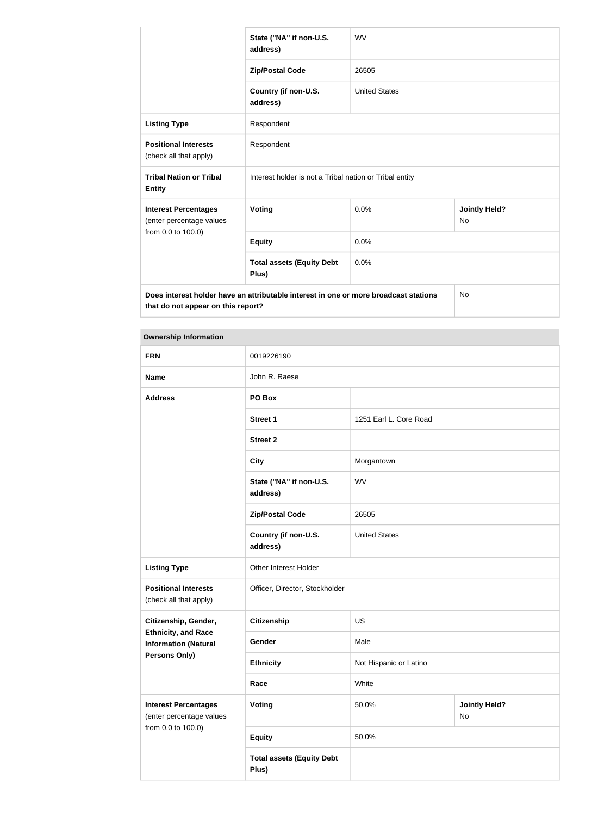|                                                         | State ("NA" if non-U.S.<br>address)                                                  | <b>WV</b>            |                                   |
|---------------------------------------------------------|--------------------------------------------------------------------------------------|----------------------|-----------------------------------|
|                                                         | <b>Zip/Postal Code</b>                                                               | 26505                |                                   |
|                                                         | Country (if non-U.S.<br>address)                                                     | <b>United States</b> |                                   |
| <b>Listing Type</b>                                     | Respondent                                                                           |                      |                                   |
| <b>Positional Interests</b><br>(check all that apply)   | Respondent                                                                           |                      |                                   |
| <b>Tribal Nation or Tribal</b><br><b>Entity</b>         | Interest holder is not a Tribal nation or Tribal entity                              |                      |                                   |
| <b>Interest Percentages</b><br>(enter percentage values | <b>Voting</b>                                                                        | 0.0%                 | <b>Jointly Held?</b><br><b>No</b> |
| from 0.0 to 100.0)                                      | <b>Equity</b>                                                                        | 0.0%                 |                                   |
|                                                         | <b>Total assets (Equity Debt</b><br>Plus)                                            | 0.0%                 |                                   |
|                                                         | Does interest holder have an attributable interest in one or more broadcast stations |                      | No.                               |

**that do not appear on this report?**

| <b>FRN</b>                                                | 0019226190                                |                        |                            |  |
|-----------------------------------------------------------|-------------------------------------------|------------------------|----------------------------|--|
| <b>Name</b>                                               | John R. Raese                             |                        |                            |  |
| <b>Address</b>                                            | PO Box                                    |                        |                            |  |
|                                                           | <b>Street 1</b>                           | 1251 Earl L. Core Road |                            |  |
|                                                           | <b>Street 2</b>                           |                        |                            |  |
|                                                           | <b>City</b>                               | Morgantown             |                            |  |
|                                                           | State ("NA" if non-U.S.<br>address)       | <b>WV</b>              |                            |  |
|                                                           | <b>Zip/Postal Code</b>                    | 26505                  |                            |  |
|                                                           | Country (if non-U.S.<br>address)          | <b>United States</b>   |                            |  |
| <b>Listing Type</b>                                       | Other Interest Holder                     |                        |                            |  |
| <b>Positional Interests</b><br>(check all that apply)     | Officer, Director, Stockholder            |                        |                            |  |
| Citizenship, Gender,                                      | <b>Citizenship</b>                        | US                     |                            |  |
| <b>Ethnicity, and Race</b><br><b>Information (Natural</b> | Gender                                    | Male                   |                            |  |
| <b>Persons Only)</b>                                      | <b>Ethnicity</b>                          | Not Hispanic or Latino |                            |  |
|                                                           | Race                                      | White                  |                            |  |
| <b>Interest Percentages</b><br>(enter percentage values   | <b>Voting</b>                             | 50.0%                  | <b>Jointly Held?</b><br>No |  |
| from 0.0 to 100.0)                                        | <b>Equity</b>                             | 50.0%                  |                            |  |
|                                                           | <b>Total assets (Equity Debt</b><br>Plus) |                        |                            |  |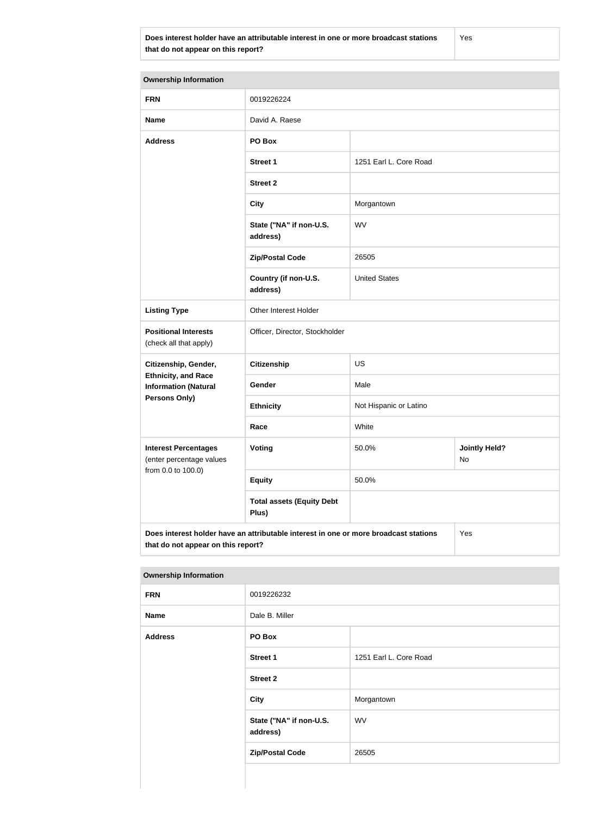**Does interest holder have an attributable interest in one or more broadcast stations that do not appear on this report?**

Yes

| <b>Ownership Information</b>                              |                                                                                      |                                     |     |
|-----------------------------------------------------------|--------------------------------------------------------------------------------------|-------------------------------------|-----|
| <b>FRN</b>                                                | 0019226224                                                                           |                                     |     |
| <b>Name</b>                                               | David A. Raese                                                                       |                                     |     |
| <b>Address</b>                                            | PO Box                                                                               |                                     |     |
|                                                           | <b>Street 1</b>                                                                      | 1251 Earl L. Core Road              |     |
|                                                           | <b>Street 2</b>                                                                      |                                     |     |
|                                                           | <b>City</b>                                                                          | Morgantown                          |     |
|                                                           | State ("NA" if non-U.S.<br>address)                                                  | WV                                  |     |
|                                                           | <b>Zip/Postal Code</b>                                                               | 26505                               |     |
|                                                           | Country (if non-U.S.<br>address)                                                     | <b>United States</b>                |     |
| <b>Listing Type</b>                                       | Other Interest Holder                                                                |                                     |     |
| <b>Positional Interests</b><br>(check all that apply)     | Officer, Director, Stockholder                                                       |                                     |     |
| Citizenship, Gender,                                      | <b>Citizenship</b>                                                                   | US                                  |     |
| <b>Ethnicity, and Race</b><br><b>Information (Natural</b> | Gender                                                                               | Male                                |     |
| <b>Persons Only)</b>                                      | <b>Ethnicity</b>                                                                     | Not Hispanic or Latino              |     |
|                                                           | Race                                                                                 | White                               |     |
| <b>Interest Percentages</b><br>(enter percentage values   | Voting                                                                               | <b>Jointly Held?</b><br>50.0%<br>No |     |
| from 0.0 to 100.0)                                        | <b>Equity</b>                                                                        | 50.0%                               |     |
|                                                           | <b>Total assets (Equity Debt</b><br>Plus)                                            |                                     |     |
| that do not appear on this report?                        | Does interest holder have an attributable interest in one or more broadcast stations |                                     | Yes |

| the contract of the contract of the contract of the contract of the contract of the contract of the contract of |                                     |                        |
|-----------------------------------------------------------------------------------------------------------------|-------------------------------------|------------------------|
| <b>FRN</b>                                                                                                      | 0019226232                          |                        |
| <b>Name</b>                                                                                                     | Dale B. Miller                      |                        |
| <b>Address</b>                                                                                                  | PO Box                              |                        |
|                                                                                                                 | <b>Street 1</b>                     | 1251 Earl L. Core Road |
|                                                                                                                 | <b>Street 2</b>                     |                        |
|                                                                                                                 | <b>City</b>                         | Morgantown             |
|                                                                                                                 | State ("NA" if non-U.S.<br>address) | WV                     |
|                                                                                                                 | <b>Zip/Postal Code</b>              | 26505                  |
|                                                                                                                 |                                     |                        |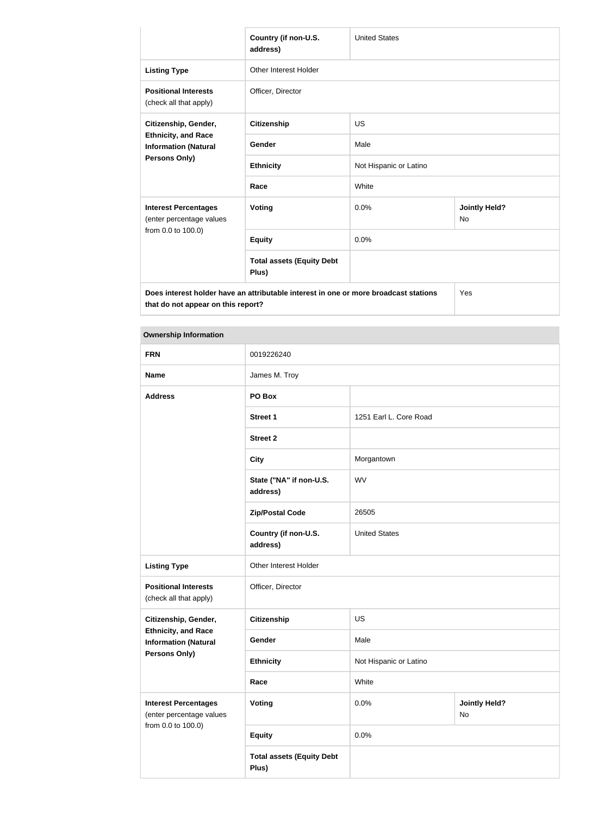|                                                                                                                            | Country (if non-U.S.<br>address)          | <b>United States</b>   |                                   |
|----------------------------------------------------------------------------------------------------------------------------|-------------------------------------------|------------------------|-----------------------------------|
|                                                                                                                            |                                           |                        |                                   |
| <b>Listing Type</b>                                                                                                        | Other Interest Holder                     |                        |                                   |
| <b>Positional Interests</b><br>(check all that apply)                                                                      | Officer, Director                         |                        |                                   |
| Citizenship, Gender,                                                                                                       | Citizenship                               | <b>US</b>              |                                   |
| <b>Ethnicity, and Race</b><br><b>Information (Natural</b><br>Persons Only)                                                 | Gender                                    | Male                   |                                   |
|                                                                                                                            | <b>Ethnicity</b>                          | Not Hispanic or Latino |                                   |
|                                                                                                                            | Race                                      | White                  |                                   |
| <b>Interest Percentages</b><br>(enter percentage values                                                                    | Voting                                    | 0.0%                   | <b>Jointly Held?</b><br><b>No</b> |
| from 0.0 to 100.0)                                                                                                         | <b>Equity</b>                             | 0.0%                   |                                   |
|                                                                                                                            | <b>Total assets (Equity Debt</b><br>Plus) |                        |                                   |
| Does interest holder have an attributable interest in one or more broadcast stations<br>that do not appear on this report? |                                           |                        | Yes                               |

| <b>FRN</b>                                                | 0019226240                                |                        |                            |  |
|-----------------------------------------------------------|-------------------------------------------|------------------------|----------------------------|--|
| <b>Name</b>                                               | James M. Troy                             |                        |                            |  |
| <b>Address</b>                                            | PO Box                                    |                        |                            |  |
|                                                           | <b>Street 1</b>                           | 1251 Earl L. Core Road |                            |  |
|                                                           | <b>Street 2</b>                           |                        |                            |  |
|                                                           | <b>City</b>                               | Morgantown             |                            |  |
|                                                           | State ("NA" if non-U.S.<br>address)       | <b>WV</b>              |                            |  |
|                                                           | <b>Zip/Postal Code</b>                    | 26505                  |                            |  |
|                                                           | Country (if non-U.S.<br>address)          | <b>United States</b>   |                            |  |
| <b>Listing Type</b>                                       | Other Interest Holder                     |                        |                            |  |
| <b>Positional Interests</b><br>(check all that apply)     | Officer, Director                         |                        |                            |  |
| Citizenship, Gender,                                      | <b>Citizenship</b>                        | US                     |                            |  |
| <b>Ethnicity, and Race</b><br><b>Information (Natural</b> | Gender                                    | Male                   |                            |  |
| <b>Persons Only)</b>                                      | <b>Ethnicity</b>                          | Not Hispanic or Latino |                            |  |
|                                                           | Race                                      | White                  |                            |  |
| <b>Interest Percentages</b><br>(enter percentage values   | <b>Voting</b>                             | 0.0%                   | <b>Jointly Held?</b><br>No |  |
| from 0.0 to 100.0)                                        | <b>Equity</b>                             | 0.0%                   |                            |  |
|                                                           | <b>Total assets (Equity Debt</b><br>Plus) |                        |                            |  |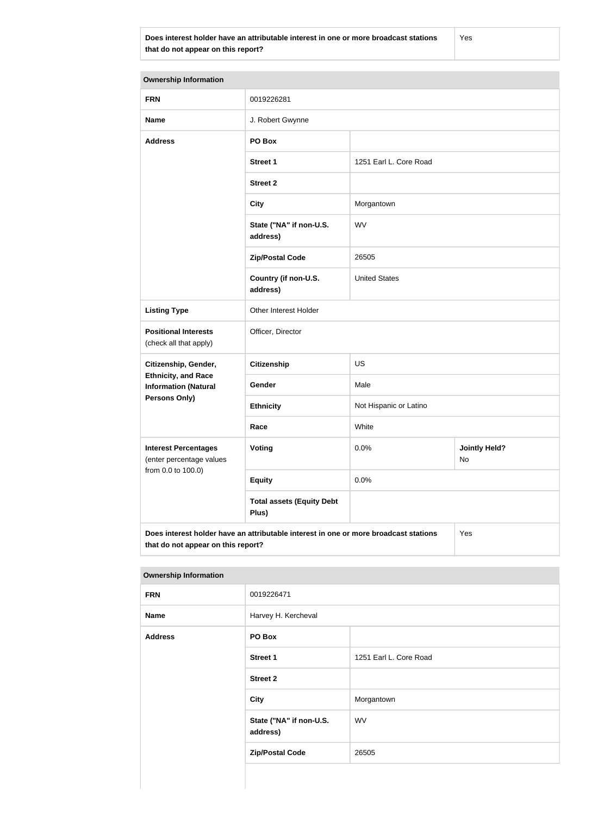**Does interest holder have an attributable interest in one or more broadcast stations that do not appear on this report?**

Yes

| <b>Ownership Information</b>                              |                                                                                      |                        |                            |
|-----------------------------------------------------------|--------------------------------------------------------------------------------------|------------------------|----------------------------|
| <b>FRN</b>                                                | 0019226281                                                                           |                        |                            |
| <b>Name</b>                                               | J. Robert Gwynne                                                                     |                        |                            |
| <b>Address</b>                                            | PO Box                                                                               |                        |                            |
|                                                           | <b>Street 1</b>                                                                      | 1251 Earl L. Core Road |                            |
|                                                           | <b>Street 2</b>                                                                      |                        |                            |
|                                                           | <b>City</b>                                                                          | Morgantown             |                            |
|                                                           | State ("NA" if non-U.S.<br>address)                                                  | <b>WV</b>              |                            |
|                                                           | <b>Zip/Postal Code</b>                                                               | 26505                  |                            |
|                                                           | Country (if non-U.S.<br>address)                                                     | <b>United States</b>   |                            |
| <b>Listing Type</b>                                       | Other Interest Holder                                                                |                        |                            |
| <b>Positional Interests</b><br>(check all that apply)     | Officer, Director                                                                    |                        |                            |
| Citizenship, Gender,                                      | <b>Citizenship</b>                                                                   | US                     |                            |
| <b>Ethnicity, and Race</b><br><b>Information (Natural</b> | Gender                                                                               | Male                   |                            |
| <b>Persons Only)</b>                                      | <b>Ethnicity</b>                                                                     | Not Hispanic or Latino |                            |
|                                                           | Race                                                                                 | White                  |                            |
| <b>Interest Percentages</b><br>(enter percentage values   | Voting                                                                               | 0.0%                   | <b>Jointly Held?</b><br>No |
| from 0.0 to 100.0)                                        | <b>Equity</b>                                                                        | 0.0%                   |                            |
|                                                           | <b>Total assets (Equity Debt</b><br>Plus)                                            |                        |                            |
| that do not appear on this report?                        | Does interest holder have an attributable interest in one or more broadcast stations |                        | Yes                        |

| . .            |                                     |                        |
|----------------|-------------------------------------|------------------------|
| <b>FRN</b>     | 0019226471                          |                        |
| <b>Name</b>    | Harvey H. Kercheval                 |                        |
| <b>Address</b> | PO Box                              |                        |
|                | <b>Street 1</b>                     | 1251 Earl L. Core Road |
|                | <b>Street 2</b>                     |                        |
|                | <b>City</b>                         | Morgantown             |
|                | State ("NA" if non-U.S.<br>address) | WV                     |
|                | <b>Zip/Postal Code</b>              | 26505                  |
|                |                                     |                        |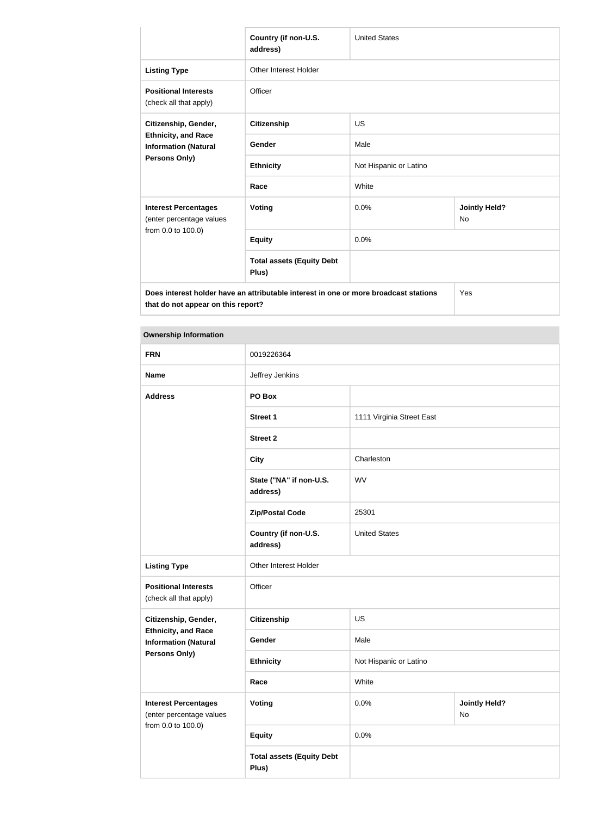|                                                                                                                            | Country (if non-U.S.<br>address)          | <b>United States</b>   |                                   |
|----------------------------------------------------------------------------------------------------------------------------|-------------------------------------------|------------------------|-----------------------------------|
| <b>Listing Type</b>                                                                                                        | Other Interest Holder                     |                        |                                   |
| <b>Positional Interests</b><br>(check all that apply)                                                                      | Officer                                   |                        |                                   |
| Citizenship, Gender,                                                                                                       | Citizenship                               | <b>US</b>              |                                   |
| <b>Ethnicity, and Race</b><br><b>Information (Natural</b><br>Persons Only)                                                 | Gender                                    | Male                   |                                   |
|                                                                                                                            | <b>Ethnicity</b>                          | Not Hispanic or Latino |                                   |
|                                                                                                                            | Race                                      | White                  |                                   |
| <b>Interest Percentages</b><br>(enter percentage values                                                                    | Voting                                    | 0.0%                   | <b>Jointly Held?</b><br><b>No</b> |
| from 0.0 to 100.0)                                                                                                         | <b>Equity</b>                             | 0.0%                   |                                   |
|                                                                                                                            | <b>Total assets (Equity Debt</b><br>Plus) |                        |                                   |
| Does interest holder have an attributable interest in one or more broadcast stations<br>that do not appear on this report? |                                           |                        | Yes                               |

| <b>FRN</b>                                                | 0019226364                                |                           |                            |  |
|-----------------------------------------------------------|-------------------------------------------|---------------------------|----------------------------|--|
| <b>Name</b>                                               | Jeffrey Jenkins                           |                           |                            |  |
| <b>Address</b>                                            | PO Box                                    |                           |                            |  |
|                                                           | <b>Street 1</b>                           | 1111 Virginia Street East |                            |  |
|                                                           | <b>Street 2</b>                           |                           |                            |  |
|                                                           | <b>City</b>                               | Charleston                |                            |  |
|                                                           | State ("NA" if non-U.S.<br>address)       | <b>WV</b>                 |                            |  |
|                                                           | <b>Zip/Postal Code</b>                    | 25301                     |                            |  |
|                                                           | Country (if non-U.S.<br>address)          | <b>United States</b>      |                            |  |
| <b>Listing Type</b>                                       | Other Interest Holder                     |                           |                            |  |
| <b>Positional Interests</b><br>(check all that apply)     | Officer                                   |                           |                            |  |
| Citizenship, Gender,                                      | <b>Citizenship</b>                        | US                        |                            |  |
| <b>Ethnicity, and Race</b><br><b>Information (Natural</b> | Gender                                    | Male                      |                            |  |
| Persons Only)                                             | <b>Ethnicity</b>                          | Not Hispanic or Latino    |                            |  |
|                                                           | Race                                      | White                     |                            |  |
| <b>Interest Percentages</b><br>(enter percentage values   | <b>Voting</b>                             | 0.0%                      | <b>Jointly Held?</b><br>No |  |
| from 0.0 to 100.0)                                        | <b>Equity</b>                             | 0.0%                      |                            |  |
|                                                           | <b>Total assets (Equity Debt</b><br>Plus) |                           |                            |  |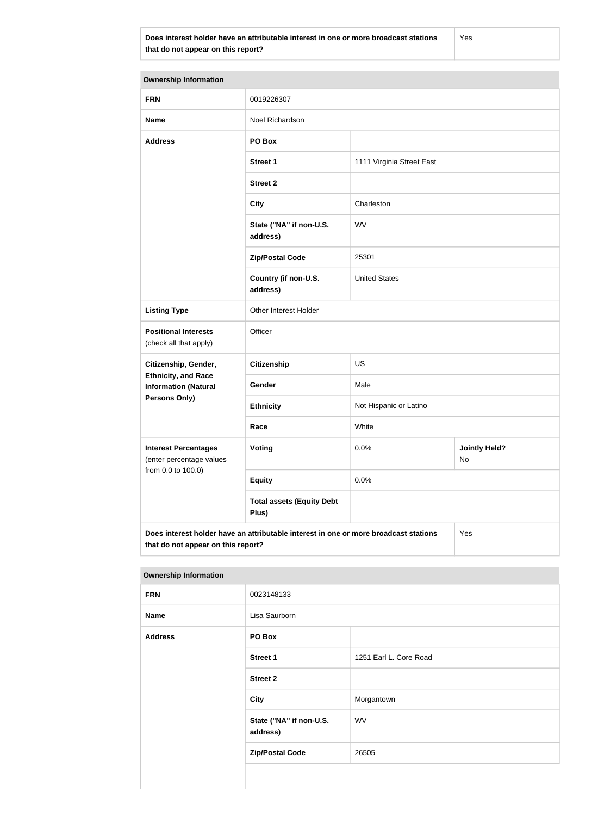**Does interest holder have an attributable interest in one or more broadcast stations that do not appear on this report?**

Yes

| <b>Ownership Information</b>                                                                                                      |                                           |                           |                            |  |
|-----------------------------------------------------------------------------------------------------------------------------------|-------------------------------------------|---------------------------|----------------------------|--|
| <b>FRN</b>                                                                                                                        | 0019226307                                |                           |                            |  |
| <b>Name</b>                                                                                                                       | Noel Richardson                           |                           |                            |  |
| <b>Address</b>                                                                                                                    | PO Box                                    |                           |                            |  |
|                                                                                                                                   | <b>Street 1</b>                           | 1111 Virginia Street East |                            |  |
|                                                                                                                                   | <b>Street 2</b>                           |                           |                            |  |
|                                                                                                                                   | <b>City</b>                               | Charleston                |                            |  |
|                                                                                                                                   | State ("NA" if non-U.S.<br>address)       | <b>WV</b>                 |                            |  |
|                                                                                                                                   | <b>Zip/Postal Code</b>                    | 25301                     |                            |  |
|                                                                                                                                   | Country (if non-U.S.<br>address)          | <b>United States</b>      |                            |  |
| <b>Listing Type</b>                                                                                                               | Other Interest Holder                     |                           |                            |  |
| <b>Positional Interests</b><br>(check all that apply)                                                                             | Officer                                   |                           |                            |  |
| Citizenship, Gender,                                                                                                              | <b>Citizenship</b>                        | US                        |                            |  |
| <b>Ethnicity, and Race</b><br><b>Information (Natural</b>                                                                         | Gender                                    | Male                      |                            |  |
| <b>Persons Only)</b>                                                                                                              | <b>Ethnicity</b>                          | Not Hispanic or Latino    |                            |  |
|                                                                                                                                   | Race                                      | White                     |                            |  |
| <b>Interest Percentages</b><br>(enter percentage values                                                                           | Voting                                    | 0.0%                      | <b>Jointly Held?</b><br>No |  |
| from 0.0 to 100.0)                                                                                                                | <b>Equity</b>                             | 0.0%                      |                            |  |
|                                                                                                                                   | <b>Total assets (Equity Debt</b><br>Plus) |                           |                            |  |
| Does interest holder have an attributable interest in one or more broadcast stations<br>Yes<br>that do not appear on this report? |                                           |                           |                            |  |

| יוסטטויוס ווייך קוווס וטוויר |                                     |                        |
|------------------------------|-------------------------------------|------------------------|
| <b>FRN</b>                   | 0023148133                          |                        |
| <b>Name</b>                  | Lisa Saurborn                       |                        |
| <b>Address</b>               | PO Box                              |                        |
|                              | <b>Street 1</b>                     | 1251 Earl L. Core Road |
|                              | <b>Street 2</b>                     |                        |
|                              | <b>City</b>                         | Morgantown             |
|                              | State ("NA" if non-U.S.<br>address) | <b>WV</b>              |
|                              | <b>Zip/Postal Code</b>              | 26505                  |
|                              |                                     |                        |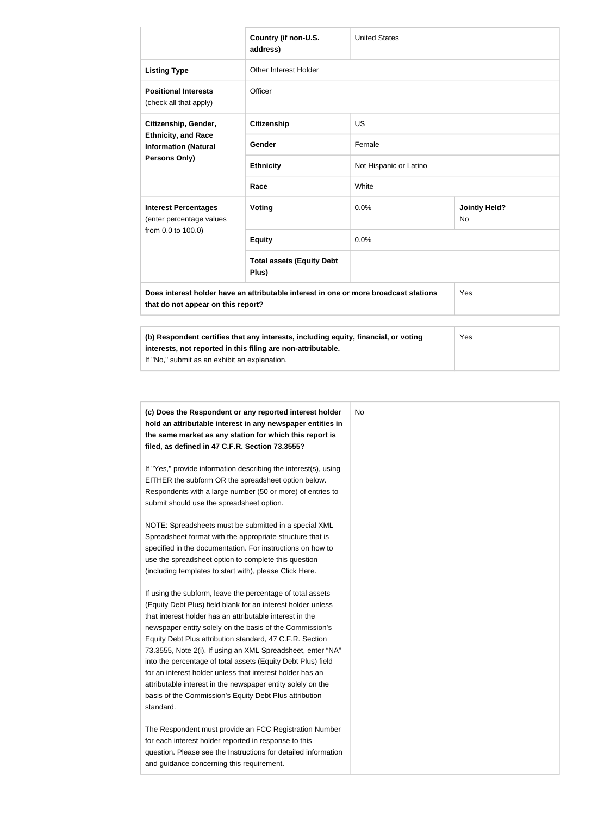|                                                                                                                                                                                                      | Country (if non-U.S.<br>address)          | <b>United States</b>   |                                   |
|------------------------------------------------------------------------------------------------------------------------------------------------------------------------------------------------------|-------------------------------------------|------------------------|-----------------------------------|
| <b>Listing Type</b>                                                                                                                                                                                  | <b>Other Interest Holder</b>              |                        |                                   |
| <b>Positional Interests</b><br>(check all that apply)                                                                                                                                                | Officer                                   |                        |                                   |
| Citizenship, Gender,<br><b>Ethnicity, and Race</b><br><b>Information (Natural</b><br>Persons Only)                                                                                                   | <b>Citizenship</b>                        | <b>US</b>              |                                   |
|                                                                                                                                                                                                      | <b>Gender</b>                             | Female                 |                                   |
|                                                                                                                                                                                                      | <b>Ethnicity</b>                          | Not Hispanic or Latino |                                   |
|                                                                                                                                                                                                      | Race                                      | White                  |                                   |
| <b>Interest Percentages</b><br>(enter percentage values                                                                                                                                              | Voting                                    | 0.0%                   | <b>Jointly Held?</b><br><b>No</b> |
| from 0.0 to 100.0)                                                                                                                                                                                   | <b>Equity</b>                             | 0.0%                   |                                   |
|                                                                                                                                                                                                      | <b>Total assets (Equity Debt</b><br>Plus) |                        |                                   |
| Does interest holder have an attributable interest in one or more broadcast stations<br>Yes<br>that do not appear on this report?                                                                    |                                           |                        |                                   |
| (b) Respondent certifies that any interests, including equity, financial, or voting<br>interests, not reported in this filing are non-attributable.<br>If "No," submit as an exhibit an explanation. |                                           |                        | Yes                               |

| (c) Does the Respondent or any reported interest holder<br>hold an attributable interest in any newspaper entities in | No |
|-----------------------------------------------------------------------------------------------------------------------|----|
| the same market as any station for which this report is                                                               |    |
| filed, as defined in 47 C.F.R. Section 73.3555?                                                                       |    |
| If "Yes," provide information describing the interest(s), using                                                       |    |
| EITHER the subform OR the spreadsheet option below.                                                                   |    |
| Respondents with a large number (50 or more) of entries to                                                            |    |
| submit should use the spreadsheet option.                                                                             |    |
| NOTE: Spreadsheets must be submitted in a special XML                                                                 |    |
| Spreadsheet format with the appropriate structure that is                                                             |    |
| specified in the documentation. For instructions on how to                                                            |    |
| use the spreadsheet option to complete this question                                                                  |    |
| (including templates to start with), please Click Here.                                                               |    |
| If using the subform, leave the percentage of total assets                                                            |    |
| (Equity Debt Plus) field blank for an interest holder unless                                                          |    |
| that interest holder has an attributable interest in the                                                              |    |
| newspaper entity solely on the basis of the Commission's                                                              |    |
| Equity Debt Plus attribution standard, 47 C.F.R. Section                                                              |    |
| 73.3555, Note 2(i). If using an XML Spreadsheet, enter "NA"                                                           |    |
| into the percentage of total assets (Equity Debt Plus) field                                                          |    |
| for an interest holder unless that interest holder has an                                                             |    |
| attributable interest in the newspaper entity solely on the                                                           |    |
| basis of the Commission's Equity Debt Plus attribution                                                                |    |
| standard.                                                                                                             |    |
| The Respondent must provide an FCC Registration Number                                                                |    |
| for each interest holder reported in response to this                                                                 |    |
| question. Please see the Instructions for detailed information                                                        |    |
| and guidance concerning this requirement.                                                                             |    |